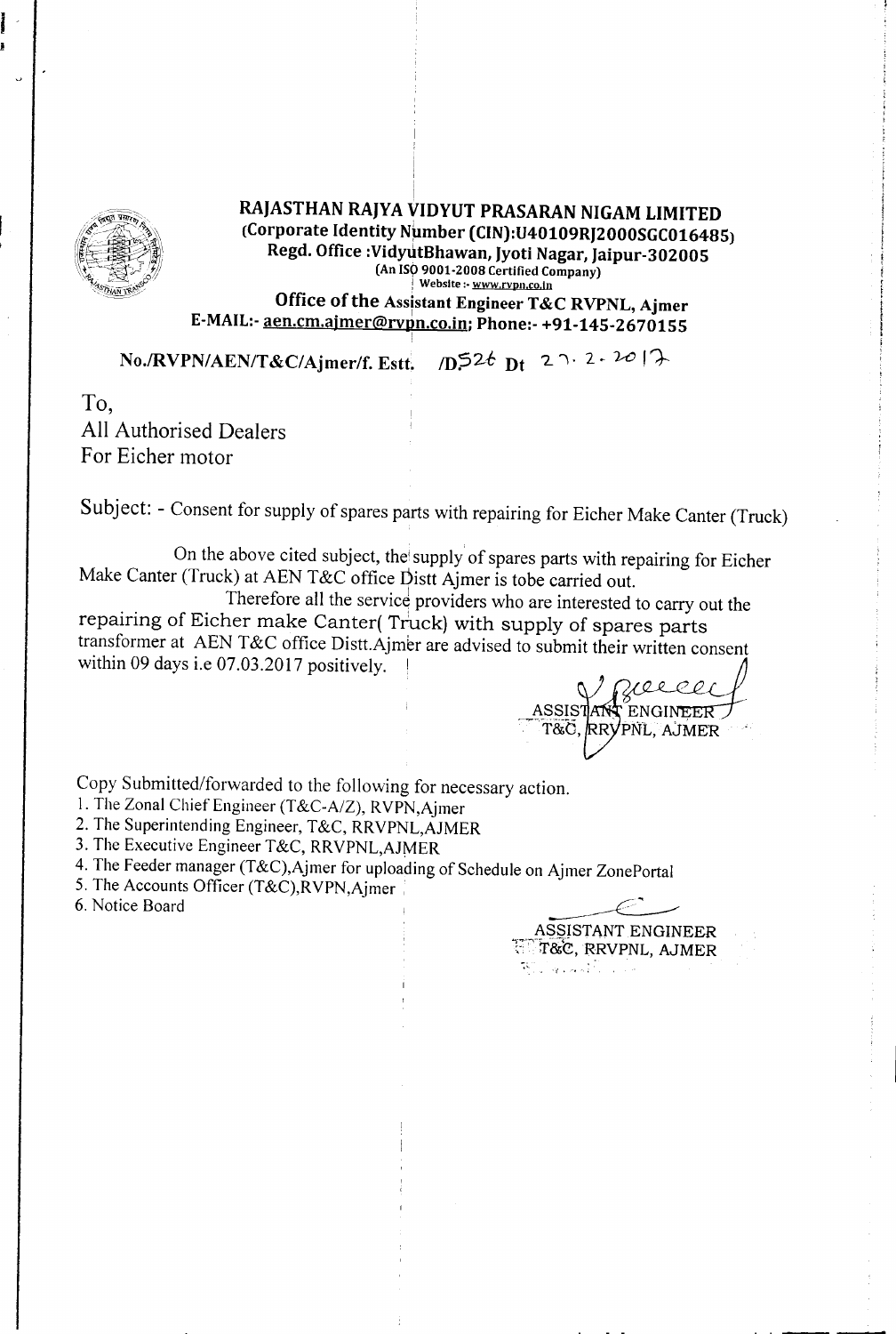

*I*

# I RAJASTHAN RAJYA VIDYUT PRASARAN NIGAM LIMITED (Corporate Identity Number (CIN):U40109RJ2000SGC016485) Regd. Office :VidyutBhawan, Jyoti Nagar, Jaipur-302005 (An IS9 9001-2008 Certified Company) Website: www.rvpn.co.in Office of the Assistant Engineer T&C RVPNL, Ajmer E-MAIL:- aen.cm.ajmer@rvpn.co.in; Phone:- +91-145-2670155

*No./RVPN/AEN/T&C/Ajmer/f. Estt. 1D:526 Dt 2 , 2 , 2017* 

To, All Authorised Dealers For Eicher motor

Subject: - Consent for supply of spares parts with repairing for Eicher Make Canter (Truck)

On the above cited subject, the'supply of spares parts with repairing for Eicher Make Canter (Truck) at AEN T&C office Distt Ajmer is tobe carried out.

Therefore all the service providers who are interested to carry out the repairing of Eicher make Canter( Truck) with supply of spares parts transformer at AEN T&C office Distt.Ajmer are advised to submit their written consent within 09 days i.e  $07.03.2017$  positively.

Copy Submitted/forwarded to the following for necessary action.

I. The Zonal Chief Engineer (T*&C-A/Z),* RVPN,Ajmer

2. The Superintending Engineer, T&C, RRVPNL,AJMER

3. The Executive Engineer T&C, RRVPNL,AJMER

4. The Feeder manager (T&C),Ajmer for uploading of Schedule on Ajmer ZonePortal

5. The Accounts Officer (T&C), RVPN, Ajmer

6. Notice Board

ASSISTANT ENGINEER ',- T&e, RRVPNL,AJMER *·f· .".*

ASSISTANT ENGINEER T&C, RRYPNL, AJMER